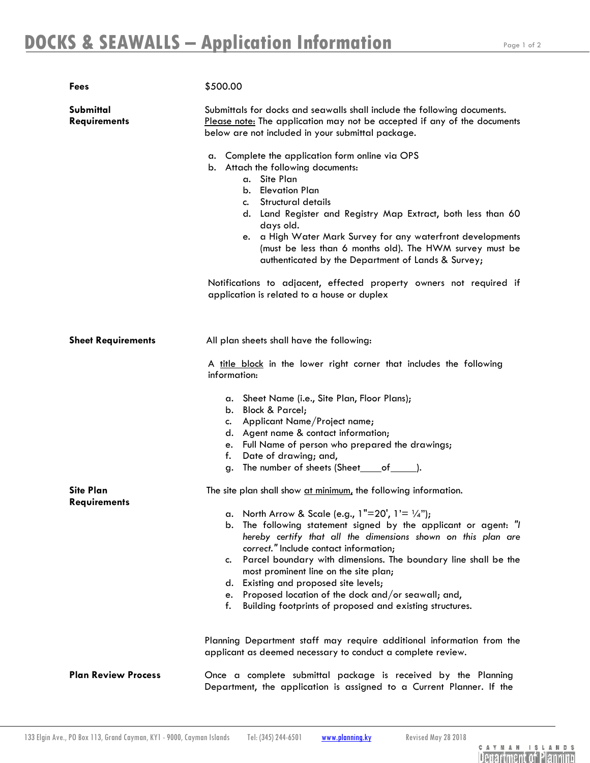Page 1 of 2

| <b>Fees</b>                             | \$500.00                                                                                                                                                                                                                                                                                                                                                                                                                                                                                                                           |
|-----------------------------------------|------------------------------------------------------------------------------------------------------------------------------------------------------------------------------------------------------------------------------------------------------------------------------------------------------------------------------------------------------------------------------------------------------------------------------------------------------------------------------------------------------------------------------------|
| Submittal<br><b>Requirements</b>        | Submittals for docks and seawalls shall include the following documents.<br>Please note: The application may not be accepted if any of the documents<br>below are not included in your submittal package.                                                                                                                                                                                                                                                                                                                          |
|                                         | a. Complete the application form online via OPS<br>b. Attach the following documents:<br>a. Site Plan<br><b>Elevation Plan</b><br>b.<br>Structural details<br>c.<br>d. Land Register and Registry Map Extract, both less than 60<br>days old.<br>a High Water Mark Survey for any waterfront developments<br>e.<br>(must be less than 6 months old). The HWM survey must be<br>authenticated by the Department of Lands & Survey;                                                                                                  |
|                                         | Notifications to adjacent, effected property owners not required if<br>application is related to a house or duplex                                                                                                                                                                                                                                                                                                                                                                                                                 |
| <b>Sheet Requirements</b>               | All plan sheets shall have the following:                                                                                                                                                                                                                                                                                                                                                                                                                                                                                          |
|                                         | A title block in the lower right corner that includes the following<br>information:                                                                                                                                                                                                                                                                                                                                                                                                                                                |
|                                         | a. Sheet Name (i.e., Site Plan, Floor Plans);<br>b. Block & Parcel;<br>Applicant Name/Project name;<br>c.<br>d. Agent name & contact information;<br>Full Name of person who prepared the drawings;<br>e.<br>Date of drawing; and,<br>f.<br>The number of sheets (Sheet_____of________).<br>g.                                                                                                                                                                                                                                     |
| <b>Site Plan</b><br><b>Requirements</b> | The site plan shall show at minimum, the following information.                                                                                                                                                                                                                                                                                                                                                                                                                                                                    |
|                                         | a. North Arrow & Scale (e.g., $1"=20'$ , $1'=1/4"$ );<br>The following statement signed by the applicant or agent: "I<br>b.<br>hereby certify that all the dimensions shown on this plan are<br>correct." Include contact information;<br>Parcel boundary with dimensions. The boundary line shall be the<br>c.<br>most prominent line on the site plan;<br>Existing and proposed site levels;<br>d.<br>Proposed location of the dock and/or seawall; and,<br>e.<br>f.<br>Building footprints of proposed and existing structures. |
|                                         | Planning Department staff may require additional information from the<br>applicant as deemed necessary to conduct a complete review.                                                                                                                                                                                                                                                                                                                                                                                               |
| <b>Plan Review Process</b>              | Once a complete submittal package is received by the Planning<br>Department, the application is assigned to a Current Planner. If the                                                                                                                                                                                                                                                                                                                                                                                              |